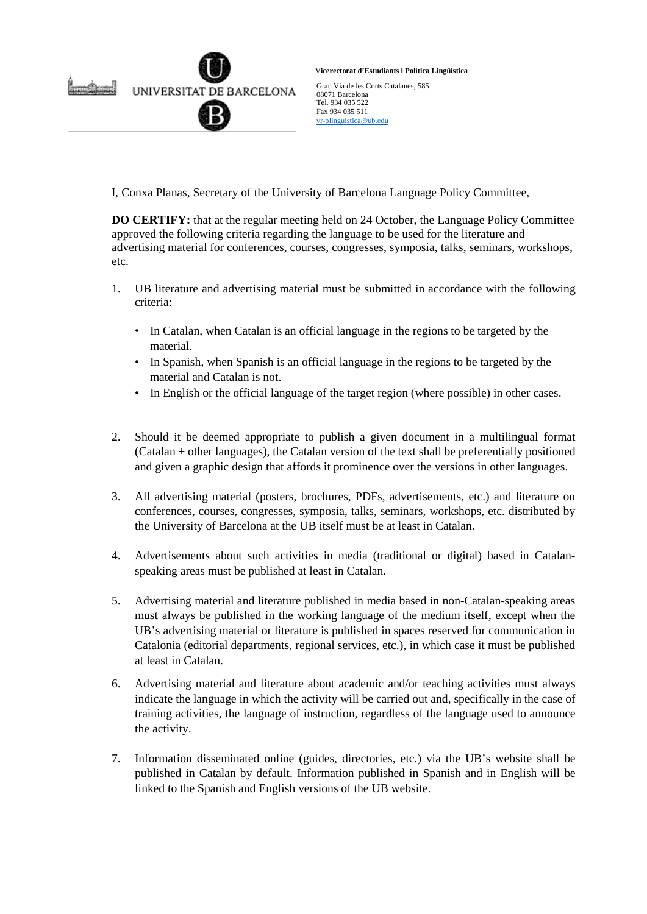

V**icerectorat d'Estudiants i Política Lingüística**

Gran Via de les Corts Catalanes, 585 08071 Barcelona Tel. 934 035 522 Fax 934 035 511 [vr-plinguistica@ub.edu](mailto:vr-plinguistica@ub.edu)

I, Conxa Planas, Secretary of the University of Barcelona Language Policy Committee,

**DO CERTIFY:** that at the regular meeting held on 24 October, the Language Policy Committee approved the following criteria regarding the language to be used for the literature and advertising material for conferences, courses, congresses, symposia, talks, seminars, workshops, etc.

- 1. UB literature and advertising material must be submitted in accordance with the following criteria:
	- In Catalan, when Catalan is an official language in the regions to be targeted by the material.
	- In Spanish, when Spanish is an official language in the regions to be targeted by the material and Catalan is not.
	- In English or the official language of the target region (where possible) in other cases.
- 2. Should it be deemed appropriate to publish a given document in a multilingual format (Catalan + other languages), the Catalan version of the text shall be preferentially positioned and given a graphic design that affords it prominence over the versions in other languages.
- 3. All advertising material (posters, brochures, PDFs, advertisements, etc.) and literature on conferences, courses, congresses, symposia, talks, seminars, workshops, etc. distributed by the University of Barcelona at the UB itself must be at least in Catalan.
- 4. Advertisements about such activities in media (traditional or digital) based in Catalanspeaking areas must be published at least in Catalan.
- 5. Advertising material and literature published in media based in non-Catalan-speaking areas must always be published in the working language of the medium itself, except when the UB's advertising material or literature is published in spaces reserved for communication in Catalonia (editorial departments, regional services, etc.), in which case it must be published at least in Catalan.
- 6. Advertising material and literature about academic and/or teaching activities must always indicate the language in which the activity will be carried out and, specifically in the case of training activities, the language of instruction, regardless of the language used to announce the activity.
- 7. Information disseminated online (guides, directories, etc.) via the UB's website shall be published in Catalan by default. Information published in Spanish and in English will be linked to the Spanish and English versions of the UB website.